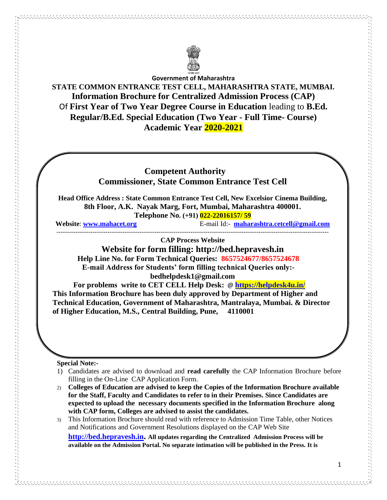

**Government of Maharashtra**

**STATE COMMON ENTRANCE TEST CELL, MAHARASHTRA STATE, MUMBAI. Information Brochure for Centralized Admission Process (CAP)** Of **First Year of Two Year Degree Course in Education** leading to **B.Ed. Regular/B.Ed. Special Education (Two Year - Full Time- Course) Academic Year 2020-2021**

## **Competent Authority Commissioner, State Common Entrance Test Cell**

**Head Office Address : State Common Entrance Test Cell, New Excelsior Cinema Building, 8th Floor, A.K. Nayak Marg, Fort, Mumbai, Maharashtra 400001. Telephone No. (+91) 022-22016157/ 59**

**Website**: **www.mahacet.org** E-mail Id:- **maharashtra.cetcell@gmail.com**

#### -------------------------------------------------------------------------------------------------------------------------------- **CAP Process Website**

**Website for form filling: http://bed.hepravesh.in Help Line No. for Form Technical Queries: 8657524677/8657524678 E-mail Address for Students' form filling technical Queries only:-**

**bedhelpdesk1@gmail.com**

**For problems write to CET CELL Help Desk:** @ **https://helpdesk4u.in/ This Information Brochure has been duly approved by Department of Higher and Technical Education, Government of Maharashtra, Mantralaya, Mumbai. & Director of Higher Education, M.S., Central Building, Pune, 4110001**

### **Special Note:-**

- 1) Candidates are advised to download and **read carefully** the CAP Information Brochure before filling in the On-Line CAP Application Form.
- 2) **Colleges of Education are advised to keep the Copies of the Information Brochure available for the Staff, Faculty and Candidates to refer to in their Premises. Since Candidates are expected to upload the necessary documents specified in the Information Brochure along with CAP form, Colleges are advised to assist the candidates.**
- 3) This Information Brochure should read with reference to Admission Time Table, other Notices and Notifications and Government Resolutions displayed on the CAP Web Site

**http://bed.hepravesh.in. All updates regarding the Centralized Admission Process will be available on the Admission Portal. No separate intimation will be published in the Press. It is**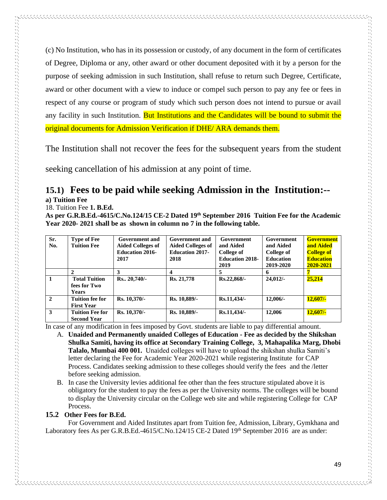(c) No Institution, who has in its possession or custody, of any document in the form of certificates of Degree, Diploma or any, other award or other document deposited with it by a person for the purpose of seeking admission in such Institution, shall refuse to return such Degree, Certificate, award or other document with a view to induce or compel such person to pay any fee or fees in respect of any course or program of study which such person does not intend to pursue or avail any facility in such Institution. But Institutions and the Candidates will be bound to submit the original documents for Admission Verification if DHE/ ARA demands them.

The Institution shall not recover the fees for the subsequent years from the student

seeking cancellation of his admission at any point of time.

# **15.1) Fees to be paid while seeking Admission in the Institution:--**

**a) Tuition Fee**

alah perangan perangan pengantan pengantan pengantan pengantan pengantan pengantan pengantan pengan pengan pen

18. Tuition Fee **1. B.Ed.** 

**As per G.R.B.Ed.-4615/C.No.124/15 CE-2 Dated 19th September 2016 Tuition Fee for the Academic Year 2020- 2021 shall be as shown in column no 7 in the following table.**

| Sr.            | <b>Type of Fee</b>     | Government and           | Government and           | Government             | Government       | <b>Government</b> |
|----------------|------------------------|--------------------------|--------------------------|------------------------|------------------|-------------------|
| No.            | <b>Tuition Fee</b>     | <b>Aided Colleges of</b> | <b>Aided Colleges of</b> | and Aided              | and Aided        | and Aided         |
|                |                        | <b>Education 2016-</b>   | <b>Education 2017-</b>   | College of             | College of       | <b>College of</b> |
|                |                        | 2017                     | 2018                     | <b>Education 2018-</b> | <b>Education</b> | <b>Education</b>  |
|                |                        |                          |                          | 2019                   | 2019-2020        | 2020-2021         |
|                |                        | 3                        |                          | 5                      | 6                |                   |
| $\mathbf{1}$   | <b>Total Tuition</b>   | Rs., 20,740/-            | Rs. 21,778               | Rs.22,868/-            | $24.012/-$       | 25,214            |
|                | fees for Two           |                          |                          |                        |                  |                   |
|                | <b>Years</b>           |                          |                          |                        |                  |                   |
| $\overline{2}$ | Tuition fee for        | Rs. 10,370/-             | Rs. 10,889/-             | Rs.11,434/-            | $12,006/-$       | $12,607/-$        |
|                | <b>First Year</b>      |                          |                          |                        |                  |                   |
| $\mathbf{3}$   | <b>Tuition Fee for</b> | Rs. 10,370/-             | Rs. 10,889/-             | Rs.11,434/             | 12,006           | $12,607/-$        |
|                | <b>Second Year</b>     |                          |                          |                        |                  |                   |

In case of any modification in fees imposed by Govt. students are liable to pay differential amount.

- A. **Unaided and Permanently unaided Colleges of Education - Fee as decided by the Shikshan Shulka Samiti, having its office at Secondary Training College, 3, Mahapalika Marg, Dhobi Talalo, Mumbai 400 001.** Unaided colleges will have to upload the shikshan shulka Samiti's letter declaring the Fee for Academic Year 2020-2021 while registering Institute for CAP Process. Candidates seeking admission to these colleges should verify the fees and the /letter before seeking admission.
- B. In case the University levies additional fee other than the fees structure stipulated above it is obligatory for the student to pay the fees as per the University norms. The colleges will be bound to display the University circular on the College web site and while registering College for CAP Process.

### **15.2 Other Fees for B.Ed.**

 For Government and Aided Institutes apart from Tuition fee, Admission, Library, Gymkhana and Laboratory fees As per G.R.B.Ed.-4615/C.No.124/15 CE-2 Dated 19th September 2016 are as under: